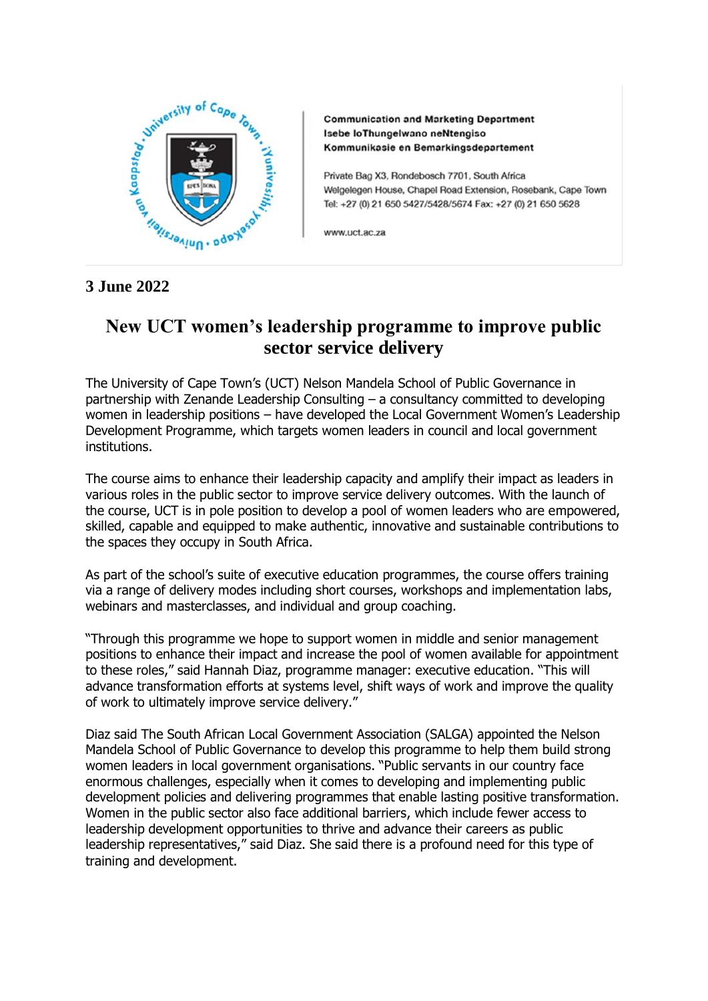

**Communication and Marketing Department** Isebe loThungelwano neNtengiso Kommunikasie en Bemarkingsdepartement

Private Bag X3, Rondebosch 7701, South Africa Welgelegen House, Chapel Road Extension, Rosebank, Cape Town Tel: +27 (0) 21 650 5427/5428/5674 Fax: +27 (0) 21 650 5628

www.uct.ac.za

## **3 June 2022**

## **New UCT women's leadership programme to improve public sector service delivery**

The University of Cape Town's (UCT) Nelson Mandela School of Public Governance in partnership with Zenande Leadership Consulting – a consultancy committed to developing women in leadership positions – have developed the Local Government Women's Leadership Development Programme, which targets women leaders in council and local government institutions.

The course aims to enhance their leadership capacity and amplify their impact as leaders in various roles in the public sector to improve service delivery outcomes. With the launch of the course, UCT is in pole position to develop a pool of women leaders who are empowered, skilled, capable and equipped to make authentic, innovative and sustainable contributions to the spaces they occupy in South Africa.

As part of the school's suite of executive education programmes, the course offers training via a range of delivery modes including short courses, workshops and implementation labs, webinars and masterclasses, and individual and group coaching.

"Through this programme we hope to support women in middle and senior management positions to enhance their impact and increase the pool of women available for appointment to these roles," said Hannah Diaz, programme manager: executive education. "This will advance transformation efforts at systems level, shift ways of work and improve the quality of work to ultimately improve service delivery."

Diaz said The South African Local Government Association (SALGA) appointed the Nelson Mandela School of Public Governance to develop this programme to help them build strong women leaders in local government organisations. "Public servants in our country face enormous challenges, especially when it comes to developing and implementing public development policies and delivering programmes that enable lasting positive transformation. Women in the public sector also face additional barriers, which include fewer access to leadership development opportunities to thrive and advance their careers as public leadership representatives," said Diaz. She said there is a profound need for this type of training and development.